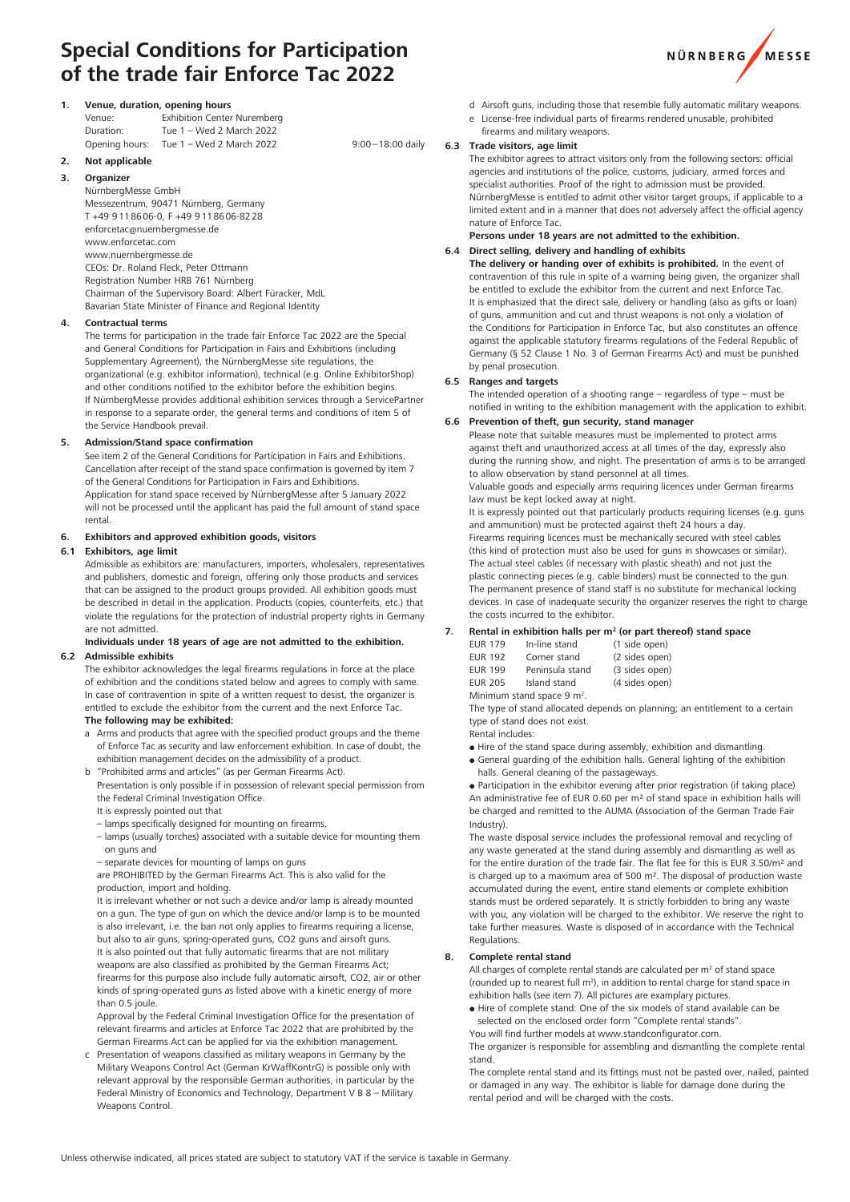# **Special Conditions for Participation of the trade fair Enforce Tac 2022**



|        | Venue, duration, opening hours |                             |
|--------|--------------------------------|-----------------------------|
| Venue: |                                | Exhibition Center Nurembero |

| Duration:      | Tue 1 - Wed 2 March 2022 |
|----------------|--------------------------|
| Opening hours: | Tue 1 - Wed 2 March 2022 |
| .              |                          |

# **2. Not applicable**

**3. Organizer**

NürnbergMesse GmbH

Messezentrum, 90471 Nürnberg, Germany T +49 9118606-0, F +49 9118606-8228 enforcetac@nuernbergmesse.de www.enforcetac.com www.nuernbergmesse.de CEOs: Dr. Roland Fleck, Peter Ottmann Registration Number HRB 761 Nürnberg Chairman of the Supervisory Board: Albert Füracker, MdL Bavarian State Minister of Finance and Regional Identity

# **4. Contractual terms**

The terms for participation in the trade fair Enforce Tac 2022 are the Special and General Conditions for Participation in Fairs and Exhibitions (including Supplementary Agreement), the NürnbergMesse site regulations, the organizational (e.g. exhibitor information), technical (e.g. Online ExhibitorShop) and other conditions notified to the exhibitor before the exhibition begins. If NürnbergMesse provides additional exhibition services through a ServicePartner in response to a separate order, the general terms and conditions of item 5 of the Service Handbook prevail.

# **5. Admission/Stand space confirmation**

See item 2 of the General Conditions for Participation in Fairs and Exhibitions. Cancellation after receipt of the stand space confirmation is governed by item 7 of the General Conditions for Participation in Fairs and Exhibitions. Application for stand space received by NürnbergMesse after 5 January 2022 will not be processed until the applicant has paid the full amount of stand space rental.

## **6. Exhibitors and approved exhibition goods, visitors**

## **6.1 Exhibitors, age limit**

Admissible as exhibitors are: manufacturers, importers, wholesalers, representatives and publishers, domestic and foreign, offering only those products and services that can be assigned to the product groups provided. All exhibition goods must be described in detail in the application. Products (copies, counterfeits, etc.) that violate the regulations for the protection of industrial property rights in Germany are not admitted.

# **Individuals under 18 years of age are not admitted to the exhibition.**

# **6.2 Admissible exhibits**

The exhibitor acknowledges the legal firearms regulations in force at the place of exhibition and the conditions stated below and agrees to comply with same. In case of contravention in spite of a written request to desist, the organizer is entitled to exclude the exhibitor from the current and the next Enforce Tac.

- **The following may be exhibited:**
- a Arms and products that agree with the specified product groups and the theme of Enforce Tac as security and law enforcement exhibition. In case of doubt, the exhibition management decides on the admissibility of a product.
- b "Prohibited arms and articles" (as per German Firearms Act).
- Presentation is only possible if in possession of relevant special permission from the Federal Criminal Investigation Office.
- It is expressly pointed out that
- lamps specifically designed for mounting on firearms,

 – lamps (usually torches) associated with a suitable device for mounting them on guns and

 – separate devices for mounting of lamps on guns

 are PROHIBITED by the German Firearms Act. This is also valid for the production, import and holding.

It is irrelevant whether or not such a device and/or lamp is already mounted on a gun. The type of gun on which the device and/or lamp is to be mounted is also irrelevant, i.e. the ban not only applies to firearms requiring a license, but also to air guns, spring-operated guns, CO2 guns and airsoft guns. It is also pointed out that fully automatic firearms that are not military weapons are also classified as prohibited by the German Firearms Act; firearms for this purpose also include fully automatic airsoft, CO2, air or other kinds of spring-operated guns as listed above with a kinetic energy of more than 0.5 joule.

Approval by the Federal Criminal Investigation Office for the presentation of relevant firearms and articles at Enforce Tac 2022 that are prohibited by the German Firearms Act can be applied for via the exhibition management.

c Presentation of weapons classified as military weapons in Germany by the Military Weapons Control Act (German KrWaffKontrG) is possible only with relevant approval by the responsible German authorities, in particular by the Federal Ministry of Economics and Technology, Department V B 8 – Military Weapons Control.

- d Airsoft guns, including those that resemble fully automatic military weapons.
- License-free individual parts of firearms rendered unusable, prohibited firearms and military weapons.

# **6.3 Trade visitors, age limit**

 $9:00 - 18:00$  daily

The exhibitor agrees to attract visitors only from the following sectors: official agencies and institutions of the police, customs, judiciary, armed forces and specialist authorities. Proof of the right to admission must be provided. NürnbergMesse is entitled to admit other visitor target groups, if applicable to a limited extent and in a manner that does not adversely affect the official agency nature of Enforce Tac.

# **Persons under 18 years are not admitted to the exhibition.**

**6.4 Direct selling, delivery and handling of exhibits The delivery or handing over of exhibits is prohibited.** In the event of contravention of this rule in spite of a warning being given, the organizer shall be entitled to exclude the exhibitor from the current and next Enforce Tac. It is emphasized that the direct sale, delivery or handling (also as gifts or loan) of guns, ammunition and cut and thrust weapons is not only a violation of the Conditions for Participation in Enforce Tac, but also constitutes an offence against the applicable statutory firearms regulations of the Federal Republic of Germany (§ 52 Clause 1 No. 3 of German Firearms Act) and must be punished by penal prosecution.

## **6.5 Ranges and targets**

The intended operation of a shooting range – regardless of type – must be notified in writing to the exhibition management with the application to exhibit.

# **6.6 Prevention of theft, gun security, stand manager**

Please note that suitable measures must be implemented to protect arms against theft and unauthorized access at all times of the day, expressly also during the running show, and night. The presentation of arms is to be arranged to allow observation by stand personnel at all times.

Valuable goods and especially arms requiring licences under German firearms law must be kept locked away at night.

It is expressly pointed out that particularly products requiring licenses (e.g. guns and ammunition) must be protected against theft 24 hours a day. Firearms requiring licences must be mechanically secured with steel cables (this kind of protection must also be used for guns in showcases or similar). The actual steel cables (if necessary with plastic sheath) and not just the plastic connecting pieces (e.g. cable binders) must be connected to the gun. The permanent presence of stand staff is no substitute for mechanical locking devices. In case of inadequate security the organizer reserves the right to charge the costs incurred to the exhibitor.

# **7. Rental in exhibition halls per m2 (or part thereof) stand space**

| <b>EUR 179</b>                         | In-line stand   | (1 side open)  |  |  |  |  |
|----------------------------------------|-----------------|----------------|--|--|--|--|
| <b>EUR 192</b>                         | Corner stand    | (2 sides open) |  |  |  |  |
| <b>EUR 199</b>                         | Peninsula stand | (3 sides open) |  |  |  |  |
| <b>EUR 205</b>                         | Island stand    | (4 sides open) |  |  |  |  |
| Minimum stand space 9 m <sup>2</sup> . |                 |                |  |  |  |  |

The type of stand allocated depends on planning; an entitlement to a certain type of stand does not exist.

Rental includes:

- $\bullet$  Hire of the stand space during assembly, exhibition and dismantling.
- General guarding of the exhibition halls. General lighting of the exhibition halls. General cleaning of the passageways.

 Participation in the exhibitor evening after prior registration (if taking place) An administrative fee of FUR 0.60 per m<sup>2</sup> of stand space in exhibition halls will be charged and remitted to the AUMA (Association of the German Trade Fair Industry).

The waste disposal service includes the professional removal and recycling of any waste generated at the stand during assembly and dismantling as well as for the entire duration of the trade fair. The flat fee for this is EUR 3.50/m² and is charged up to a maximum area of 500 m². The disposal of production waste accumulated during the event, entire stand elements or complete exhibition stands must be ordered separately. It is strictly forbidden to bring any waste with you, any violation will be charged to the exhibitor. We reserve the right to take further measures. Waste is disposed of in accordance with the Technical **Regulations** 

# **8. Complete rental stand**

All charges of complete rental stands are calculated per  $m<sup>2</sup>$  of stand space (rounded up to nearest full m<sup>2</sup>), in addition to rental charge for stand space in exhibition halls (see item 7). All pictures are examplary pictures.

 Hire of complete stand: One of the six models of stand available can be selected on the enclosed order form "Complete rental stands". You will find further models at www.standconfigurator.com.

The organizer is responsible for assembling and dismantling the complete rental stand.

The complete rental stand and its fittings must not be pasted over, nailed, painted or damaged in any way. The exhibitor is liable for damage done during the rental period and will be charged with the costs.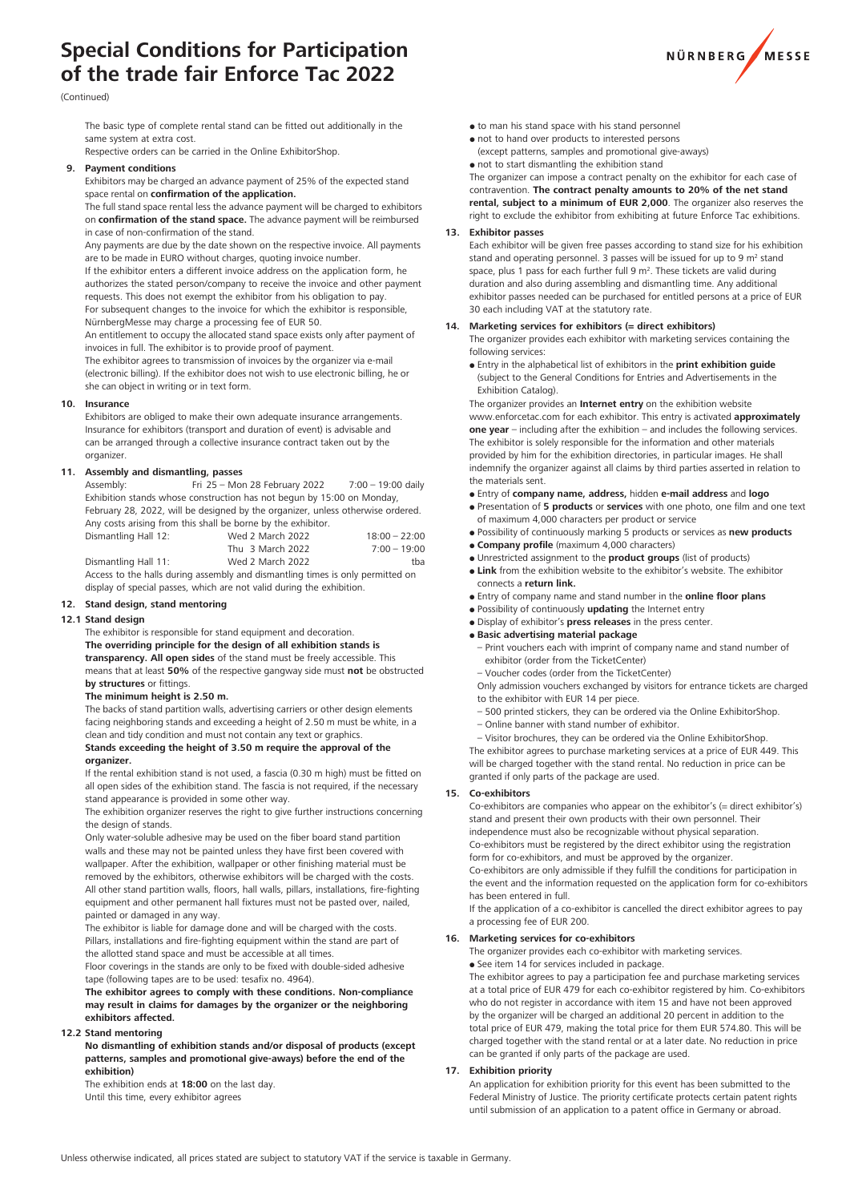# **Special Conditions for Participation of the trade fair Enforce Tac 2022**



#### (Continued)

The basic type of complete rental stand can be fitted out additionally in the same system at extra cost.

Respective orders can be carried in the Online ExhibitorShop.

## **9. Payment conditions**

Exhibitors may be charged an advance payment of 25% of the expected stand space rental on **confirmation of the application.**

The full stand space rental less the advance payment will be charged to exhibitors on **confirmation of the stand space.** The advance payment will be reimbursed in case of non-confirmation of the stand.

Any payments are due by the date shown on the respective invoice. All payments are to be made in EURO without charges, quoting invoice number.

If the exhibitor enters a different invoice address on the application form, he authorizes the stated person/company to receive the invoice and other payment requests. This does not exempt the exhibitor from his obligation to pay. For subsequent changes to the invoice for which the exhibitor is responsible, NürnbergMesse may charge a processing fee of EUR 50.

An entitlement to occupy the allocated stand space exists only after payment of invoices in full. The exhibitor is to provide proof of payment.

The exhibitor agrees to transmission of invoices by the organizer via e-mail (electronic billing). If the exhibitor does not wish to use electronic billing, he or she can object in writing or in text form.

#### **10. Insurance**

Exhibitors are obliged to make their own adequate insurance arrangements. Insurance for exhibitors (transport and duration of event) is advisable and can be arranged through a collective insurance contract taken out by the organizer.

#### **11. Assembly and dismantling, passes**

Assembly: Fri 25 – Mon 28 February 2022 7:00 – 19:00 daily Exhibition stands whose construction has not begun by 15:00 on Monday, February 28, 2022, will be designed by the organizer, unless otherwise ordered. Any costs arising from this shall be borne by the exhibitor.

| Dismantling Hall 12: | Wed 2 March 2022 | $18:00 - 22:00$ |
|----------------------|------------------|-----------------|
|                      | Thu 3 March 2022 | $7:00 - 19:00$  |
| Dismantling Hall 11: | Wed 2 March 2022 | tba             |
|                      |                  |                 |

Access to the halls during assembly and dismantling times is only permitted on display of special passes, which are not valid during the exhibition.

#### **12. Stand design, stand mentoring**

#### **12.1 Stand design**

The exhibitor is responsible for stand equipment and decoration. **The overriding principle for the design of all exhibition stands is transparency. All open sides** of the stand must be freely accessible. This means that at least **50%** of the respective gangway side must **not** be obstructed **by structures** or fittings.

#### **The minimum height is 2.50 m.**

The backs of stand partition walls, advertising carriers or other design elements facing neighboring stands and exceeding a height of 2.50 m must be white, in a clean and tidy condition and must not contain any text or graphics.

#### **Stands exceeding the height of 3.50 m require the approval of the organizer.**

If the rental exhibition stand is not used, a fascia (0.30 m high) must be fitted on all open sides of the exhibition stand. The fascia is not required, if the necessary stand appearance is provided in some other way.

The exhibition organizer reserves the right to give further instructions concerning the design of stands.

Only water-soluble adhesive may be used on the fiber board stand partition walls and these may not be painted unless they have first been covered with wallpaper. After the exhibition, wallpaper or other finishing material must be removed by the exhibitors, otherwise exhibitors will be charged with the costs. All other stand partition walls, floors, hall walls, pillars, installations, fire-fighting equipment and other permanent hall fixtures must not be pasted over, nailed, painted or damaged in any way.

The exhibitor is liable for damage done and will be charged with the costs. Pillars, installations and fire-fighting equipment within the stand are part of the allotted stand space and must be accessible at all times.

Floor coverings in the stands are only to be fixed with double-sided adhesive tape (following tapes are to be used: tesafix no. 4964).

**The exhibitor agrees to comply with these conditions. Non-compliance may result in claims for damages by the organizer or the neighboring exhibitors affected.**

## **12.2 Stand mentoring**

**No dismantling of exhibition stands and/or disposal of products (except patterns, samples and promotional give-aways) before the end of the exhibition)**

The exhibition ends at **18:00** on the last day. Until this time, every exhibitor agrees

- $\bullet$  to man his stand space with his stand personnel
- not to hand over products to interested persons
- (except patterns, samples and promotional give-aways) not to start dismantling the exhibition stand

The organizer can impose a contract penalty on the exhibitor for each case of contravention. **The contract penalty amounts to 20% of the net stand rental, subject to a minimum of EUR 2,000**. The organizer also reserves the right to exclude the exhibitor from exhibiting at future Enforce Tac exhibitions.

#### **13. Exhibitor passes**

Each exhibitor will be given free passes according to stand size for his exhibition stand and operating personnel. 3 passes will be issued for up to 9 m<sup>2</sup> stand space, plus 1 pass for each further full  $9 \text{ m}^2$ . These tickets are valid during duration and also during assembling and dismantling time. Any additional exhibitor passes needed can be purchased for entitled persons at a price of EUR 30 each including VAT at the statutory rate.

## **14. Marketing services for exhibitors (= direct exhibitors)**

The organizer provides each exhibitor with marketing services containing the following services:

- Entry in the alphabetical list of exhibitors in the **print exhibition guide** (subject to the General Conditions for Entries and Advertisements in the Exhibition Catalog).
- The organizer provides an **Internet entry** on the exhibition website

www.enforcetac.com for each exhibitor. This entry is activated **approximately one year** – including after the exhibition – and includes the following services. The exhibitor is solely responsible for the information and other materials provided by him for the exhibition directories, in particular images. He shall indemnify the organizer against all claims by third parties asserted in relation to the materials sent.

- Entry of **company name, address,** hidden **e-mail address** and **logo**
- Presentation of **5 products** or **services** with one photo, one film and one text of maximum 4,000 characters per product or service
- Possibility of continuously marking 5 products or services as **new products**
- **Company profile** (maximum 4,000 characters)
- Unrestricted assignment to the **product groups** (list of products) **Link** from the exhibition website to the exhibitor's website. The exhibitor connects a **return link.**
- Entry of company name and stand number in the **online floor plans**
- Possibility of continuously **updating** the Internet entry
- Display of exhibitor's **press releases** in the press center.
- **Basic advertising material package**
	- Print vouchers each with imprint of company name and stand number of exhibitor (order from the TicketCenter)
	- Voucher codes (order from the TicketCenter)
- Only admission vouchers exchanged by visitors for entrance tickets are charged to the exhibitor with EUR 14 per piece.
- 500 printed stickers, they can be ordered via the Online ExhibitorShop. – Online banner with stand number of exhibitor.
- Visitor brochures, they can be ordered via the Online ExhibitorShop.

The exhibitor agrees to purchase marketing services at a price of EUR 449. This will be charged together with the stand rental. No reduction in price can be granted if only parts of the package are used.

#### **15. Co-exhibitors**

Co-exhibitors are companies who appear on the exhibitor's (= direct exhibitor's) stand and present their own products with their own personnel. Their independence must also be recognizable without physical separation.

Co-exhibitors must be registered by the direct exhibitor using the registration form for co-exhibitors, and must be approved by the organizer.

Co-exhibitors are only admissible if they fulfill the conditions for participation in the event and the information requested on the application form for co-exhibitors has been entered in full.

If the application of a co-exhibitor is cancelled the direct exhibitor agrees to pay a processing fee of EUR 200.

#### **16. Marketing services for co-exhibitors**

The organizer provides each co-exhibitor with marketing services. • See item 14 for services included in package.

The exhibitor agrees to pay a participation fee and purchase marketing services at a total price of EUR 479 for each co-exhibitor registered by him. Co-exhibitors who do not register in accordance with item 15 and have not been approved by the organizer will be charged an additional 20 percent in addition to the total price of EUR 479, making the total price for them EUR 574.80. This will be charged together with the stand rental or at a later date. No reduction in price can be granted if only parts of the package are used.

#### **17. Exhibition priority**

An application for exhibition priority for this event has been submitted to the Federal Ministry of Justice. The priority certificate protects certain patent rights until submission of an application to a patent office in Germany or abroad.